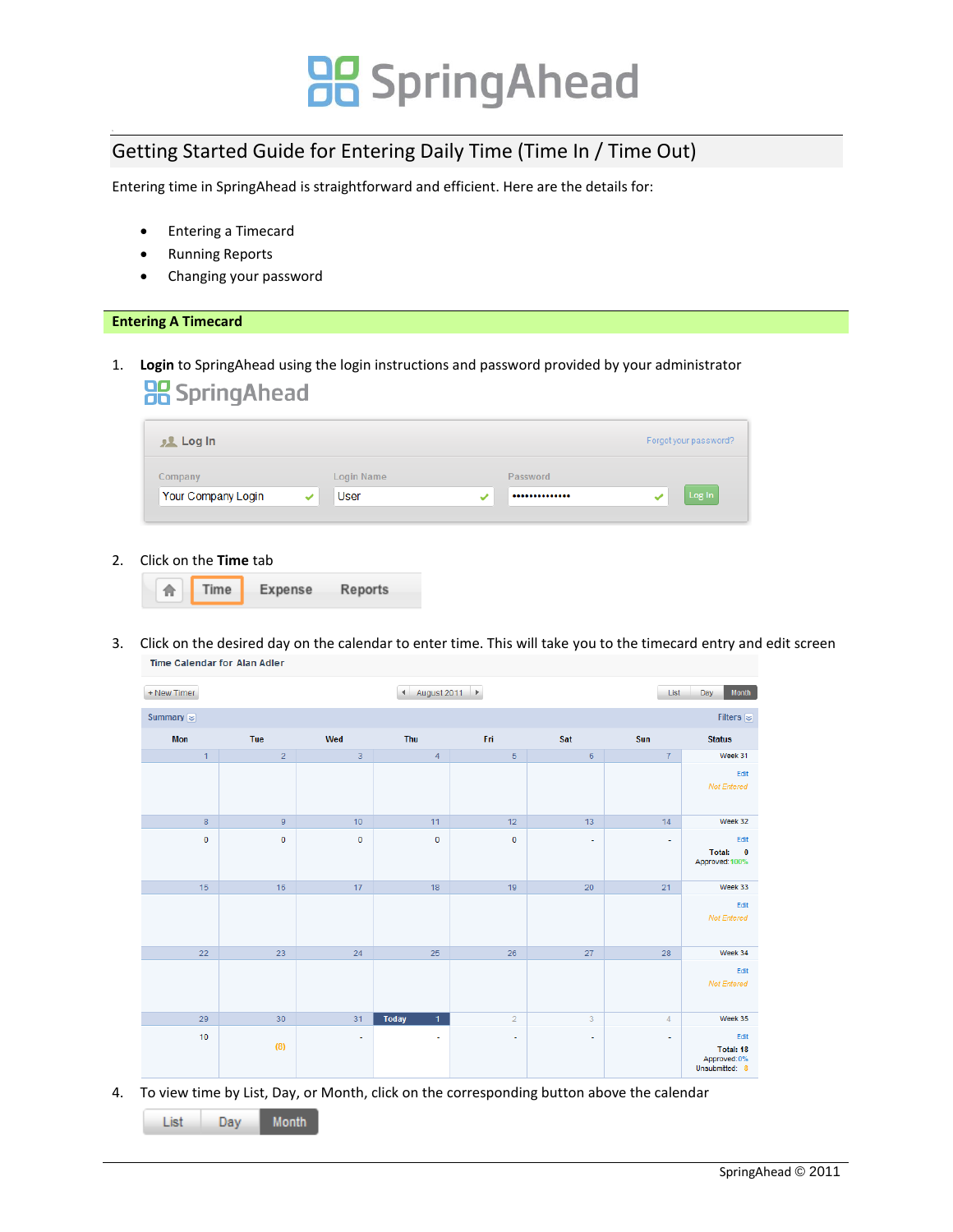### Getting Started Guide for Entering Daily Time (Time In / Time Out)

Entering time in SpringAhead is straightforward and efficient. Here are the details for:

- Entering a Timecard
- Running Reports
- Changing your password

#### **Entering A Timecard**

1. **Login** to SpringAhead using the login instructions and password provided by your administrator **品**SpringAhead

| <b>J.L.</b> Log In |             |   |          | Forgot your password? |
|--------------------|-------------|---|----------|-----------------------|
| Company            | Login Name  |   | Password |                       |
| Your Company Login | <b>User</b> | ✓ |          | Log In                |

2. Click on the **Time** tab



3. Click on the desired day on the calendar to enter time. This will take you to the timecard entry and edit screen Time Calendar for Alan Adler

| + New Timer       |                |             | + August 2011 ▶              |                |                          | List                     | Month<br>Day                                                       |
|-------------------|----------------|-------------|------------------------------|----------------|--------------------------|--------------------------|--------------------------------------------------------------------|
| Summary $\approx$ |                |             |                              |                |                          |                          | Filters $\approx$                                                  |
| <b>Mon</b>        | Tue            | Wed         | Thu                          | Fri            | Sat                      | Sun                      | <b>Status</b>                                                      |
| $\overline{1}$    | $\overline{2}$ | 3           | $\overline{4}$               | $\overline{5}$ | $\,$ 6 $\,$              | $\overline{7}$           | Week 31                                                            |
|                   |                |             |                              |                |                          |                          | Edit<br>Not Entered                                                |
| $\overline{8}$    | $\overline{9}$ | 10          | 11                           | 12             | 13                       | 14                       | Week 32                                                            |
| $\mathbf 0$       | $\mathbf 0$    | $\mathbf 0$ | $\mathbf 0$                  | $\mathbf 0$    | $\overline{\phantom{a}}$ | $\overline{\phantom{a}}$ | Edit<br><b>Total:</b><br>$\overline{\mathbf{0}}$<br>Approved: 100% |
| 15                | 16             | 17          | 18                           | 19             | 20                       | 21                       | Week 33                                                            |
|                   |                |             |                              |                |                          |                          | Edit<br>Not Entered                                                |
| 22                | 23             | 24          | 25                           | 26             | 27                       | 28                       | Week 34                                                            |
|                   |                |             |                              |                |                          |                          | Edit<br>Not Entered                                                |
| 29                | 30             | 31          | <b>Today</b><br>$\mathbf{1}$ | $\overline{2}$ | $\overline{3}$           | $\overline{4}$           | Week 35                                                            |
| 10                | (8)            | $\sim$      | ×                            | ÷              | $\sim$                   | $\sim$                   | Edit<br>Total: 18<br>Approved: 0%<br>Unsubmitted: 8                |

4. To view time by List, Day, or Month, click on the corresponding button above the calendar

List Day Month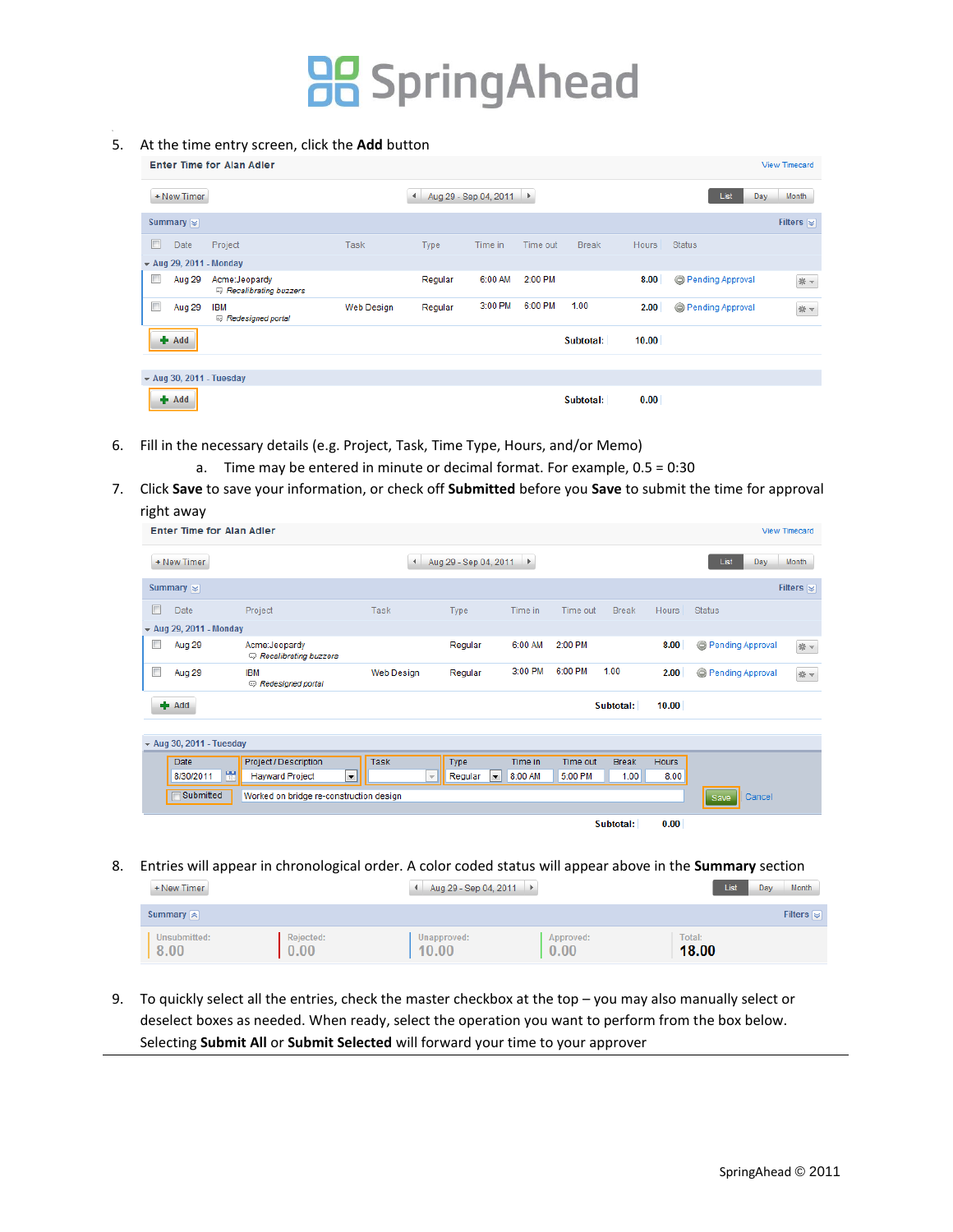#### 5. At the time entry screen, click the **Add** button

|                                             | <b>Enter Time for Alan Adler</b>       |            |              |                         |          |              |              |                  | <b>View Timecard</b>                |
|---------------------------------------------|----------------------------------------|------------|--------------|-------------------------|----------|--------------|--------------|------------------|-------------------------------------|
| + New Timer                                 |                                        |            | $\leftarrow$ | Aug 29 - Sep 04, 2011 ▶ |          |              |              | List<br>Day      | Month                               |
| Summary $\approx$                           |                                        |            |              |                         |          |              |              |                  | Filters $\lvert \mathcal{G} \rvert$ |
| F<br>Date                                   | Project                                | Task       | Type         | Time in                 | Time out | <b>Break</b> | <b>Hours</b> | <b>Status</b>    |                                     |
| $\blacktriangleright$ Aug 29, 2011 - Monday |                                        |            |              |                         |          |              |              |                  |                                     |
| Aug 29                                      | Acme:Jeopardy<br>Recalibrating buzzers |            | Regular      | 6:00 AM                 | 2:00 PM  |              | 8.00         | Pending Approval | * -                                 |
| Г<br>Aug 29                                 | <b>IBM</b><br>Redesigned portal        | Web Design | Regular      | 3:00 PM                 | 6:00 PM  | 1.00         | 2.00         | Pending Approval | * *                                 |
| $+$ Add                                     |                                        |            |              |                         |          | Subtotal:    | 10.00        |                  |                                     |
|                                             |                                        |            |              |                         |          |              |              |                  |                                     |
| $\star$ Aug 30, 2011 - Tuesday              |                                        |            |              |                         |          |              |              |                  |                                     |
| $+$ Add                                     |                                        |            |              |                         |          | Subtotal:    | 0.00         |                  |                                     |

- 6. Fill in the necessary details (e.g. Project, Task, Time Type, Hours, and/or Memo)
	- a. Time may be entered in minute or decimal format. For example, 0.5 = 0:30
- 7. Click **Save** to save your information, or check off **Submitted** before you **Save** to submit the time for approval right away

| <b>Enter Time for Alan Adler</b>            |                                           |                          |                                     |         |          |              |              |                       | <b>View Timecard</b> |
|---------------------------------------------|-------------------------------------------|--------------------------|-------------------------------------|---------|----------|--------------|--------------|-----------------------|----------------------|
| + New Timer                                 |                                           | $\blacktriangleleft$     | Aug 29 - Sep 04, 2011 ▶             |         |          |              |              | List<br>Day           | <b>Month</b>         |
| Summary $\approx$                           |                                           |                          |                                     |         |          |              |              |                       | Filters $\approx$    |
| E<br>Date                                   | Project                                   | Task                     | Type                                | Time in | Time out | <b>Break</b> | <b>Hours</b> | <b>Status</b>         |                      |
| $\blacktriangleright$ Aug 29, 2011 - Monday |                                           |                          |                                     |         |          |              |              |                       |                      |
| $\Box$<br>Aug 29                            | Acme:Jeopardy<br>Recalibrating buzzers    |                          | Regular                             | 6:00 AM | 2:00 PM  |              | 8.00         | Pending Approval      | * *                  |
| E<br>Aug 29                                 | <b>IBM</b><br>Redesigned portal           | Web Design               | Regular                             | 3:00 PM | 6:00 PM  | 1.00         | 2.00         | Pending Approval      | * *                  |
| $+$ Add                                     |                                           |                          |                                     |         |          | Subtotal:    | 10.00        |                       |                      |
|                                             |                                           |                          |                                     |         |          |              |              |                       |                      |
| $\star$ Aug 30, 2011 - Tuesday              |                                           |                          |                                     |         |          |              |              |                       |                      |
| Date                                        | Project / Description                     | Task                     | Type                                | Time in | Time out | <b>Break</b> | <b>Hours</b> |                       |                      |
| w<br>8/30/2011                              | $\vert$ $\vert$<br><b>Hayward Project</b> | $\overline{\phantom{a}}$ | $\overline{\phantom{a}}$<br>Regular | 8:00 AM | 5:00 PM  | 1.00         | 8.00         |                       |                      |
| Submitted                                   | Worked on bridge re-construction design   |                          |                                     |         |          |              |              | Cancel<br><b>Save</b> |                      |
|                                             |                                           |                          |                                     |         |          | Subtotal:    | 0.00         |                       |                      |

8. Entries will appear in chronological order. A color coded status will appear above in the **Summary** section

| + New Timer                         |                   | Aug 29 - Sep 04, 2011 ▶ |                   | List            | <b>Month</b><br>Day |
|-------------------------------------|-------------------|-------------------------|-------------------|-----------------|---------------------|
| Summary $\left  \mathbf{a} \right $ |                   |                         |                   |                 | Filters $\approx$   |
| Unsubmitted:<br>8.00                | Rejected:<br>0.00 | Unapproved:<br>10.00    | Approved:<br>0.00 | Total:<br>18.00 |                     |

9. To quickly select all the entries, check the master checkbox at the top – you may also manually select or deselect boxes as needed. When ready, select the operation you want to perform from the box below. Selecting **Submit All** or **Submit Selected** will forward your time to your approver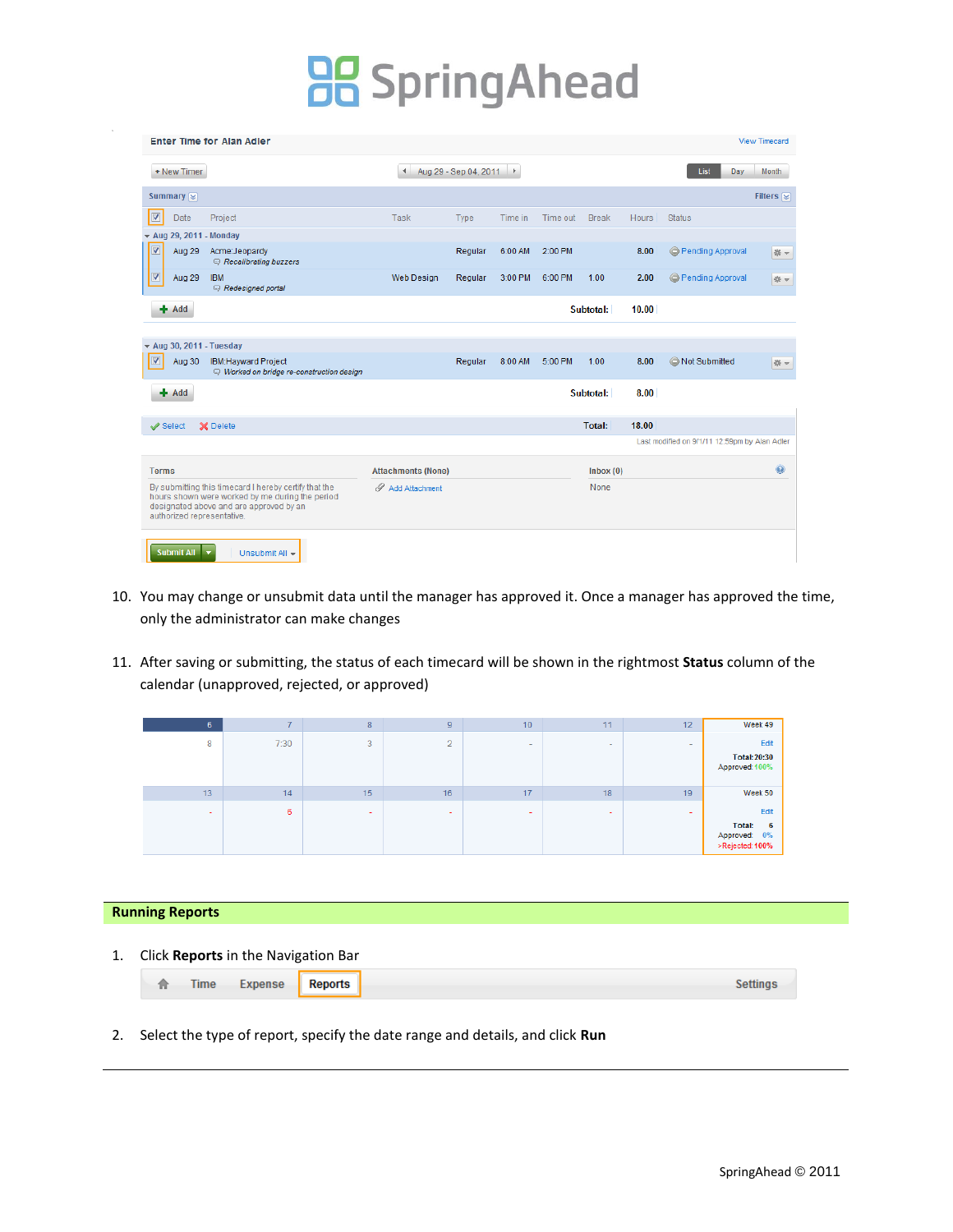|                         |                      | <b>Enter Time for Alan Adler</b>                                                                                                                                                  |                           |                         |         |          |              |              |                                               | View Timecard     |
|-------------------------|----------------------|-----------------------------------------------------------------------------------------------------------------------------------------------------------------------------------|---------------------------|-------------------------|---------|----------|--------------|--------------|-----------------------------------------------|-------------------|
|                         | + New Timer          |                                                                                                                                                                                   | $\blacktriangleleft$      | Aug 29 - Sep 04, 2011 ▶ |         |          |              |              | List<br>Day                                   | <b>Month</b>      |
|                         | Summary $\approx$    |                                                                                                                                                                                   |                           |                         |         |          |              |              |                                               | Filters $\approx$ |
| $\overline{\mathbf{v}}$ | Date                 | Project                                                                                                                                                                           | Task                      | Type                    | Time in | Time out | <b>Break</b> | <b>Hours</b> | <b>Status</b>                                 |                   |
|                         | $\star$ Aug 29, 2011 | - Monday                                                                                                                                                                          |                           |                         |         |          |              |              |                                               |                   |
| $\overline{\mathbf{v}}$ | Aug 29               | Acme:Jeopardy<br>Recalibrating buzzers                                                                                                                                            |                           | Regular                 | 6:00 AM | 2:00 PM  |              | 8.00         | Pending Approval                              | 崇一                |
| ☑                       | Aug 29               | <b>IBM</b><br>Redesigned portal                                                                                                                                                   | Web Design                | Regular                 | 3:00 PM | 6:00 PM  | 1.00         | 2.00         | Pending Approval                              | 崇一                |
|                         | $+$ Add              |                                                                                                                                                                                   |                           |                         |         |          | Subtotal:    | 10.00        |                                               |                   |
|                         |                      |                                                                                                                                                                                   |                           |                         |         |          |              |              |                                               |                   |
|                         |                      | $\star$ Aug 30, 2011 - Tuesday                                                                                                                                                    |                           |                         |         |          |              |              |                                               |                   |
| $\overline{\mathbf{v}}$ | Aug 30               | <b>IBM:Hayward Project</b><br>Worked on bridge re-construction design                                                                                                             |                           | Regular                 | 8:00 AM | 5:00 PM  | 1.00         | 8.00         | Not Submitted                                 | 崇一                |
|                         | $+$ Add              |                                                                                                                                                                                   |                           |                         |         |          | Subtotal:    | 8.00         |                                               |                   |
|                         | $\mathcal S$ elect   | X Delete                                                                                                                                                                          |                           |                         |         |          | Total:       | 18.00        |                                               |                   |
|                         |                      |                                                                                                                                                                                   |                           |                         |         |          |              |              | Last modified on 9/1/11 12:59pm by Alan Adler |                   |
|                         | <b>Terms</b>         |                                                                                                                                                                                   | <b>Attachments (None)</b> |                         |         |          | lnbox(0)     |              |                                               | $\odot$           |
|                         |                      | By submitting this timecard I hereby certify that the<br>hours shown were worked by me during the period<br>designated above and are approved by an<br>authorized representative. | Add Attachment            |                         |         |          | None         |              |                                               |                   |
|                         | Submit All v         | Unsubmit All +                                                                                                                                                                    |                           |                         |         |          |              |              |                                               |                   |

- 10. You may change or unsubmit data until the manager has approved it. Once a manager has approved the time, only the administrator can make changes
- 11. After saving or submitting, the status of each timecard will be shown in the rightmost **Status** column of the calendar (unapproved, rejected, or approved)

| Week 49                                                       | 12                       | 11     | 10                       | 9                        | 8                        |      |    |
|---------------------------------------------------------------|--------------------------|--------|--------------------------|--------------------------|--------------------------|------|----|
| Edit<br><b>Total: 20:30</b><br>Approved: 100%                 | $\sim$                   | $\sim$ | $\sim$                   | $\overline{2}$           | 3                        | 7:30 | 8  |
| Week 50                                                       | 19                       | 18     | 17                       | 16                       | 15                       | 14   | 13 |
| Edit<br><b>Total:</b><br>6<br>Approved: 0%<br>>Rejected: 100% | $\overline{\phantom{a}}$ | -      | $\overline{\phantom{a}}$ | $\overline{\phantom{a}}$ | $\overline{\phantom{a}}$ | 6    | ۰  |

#### **Running Reports**

1. Click **Reports** in the Navigation Bar

|--|

2. Select the type of report, specify the date range and details, and click **Run**